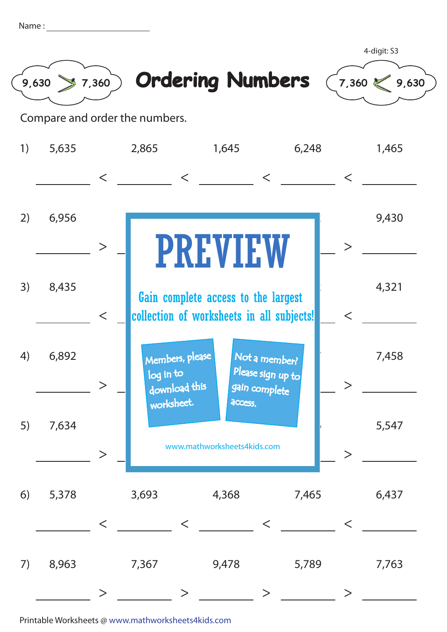| Name |  |
|------|--|
|      |  |
|      |  |





4-digit: S3

Compare and order the numbers.

| 1) | 5,635 |          | 2,865                                                                                              |                                  | 1,645   |                                                     | 6,248                                      |        | 1,465 |
|----|-------|----------|----------------------------------------------------------------------------------------------------|----------------------------------|---------|-----------------------------------------------------|--------------------------------------------|--------|-------|
|    |       | $\lt$    |                                                                                                    | $\lt$                            |         | $\lt$                                               |                                            | $\lt$  |       |
| 2) | 6,956 | $\rm{>}$ |                                                                                                    |                                  |         |                                                     |                                            | $\geq$ | 9,430 |
| 3) | 8,435 | $\lt$    | <b>PREVIEW</b><br>Gain complete access to the largest<br>collection of worksheets in all subjects! |                                  |         |                                                     | $\lt$                                      | 4,321  |       |
| 4) | 6,892 |          | log in to                                                                                          | Members, please<br>download this |         | Not a member?<br>Please sign up to<br>gain complete |                                            |        | 7,458 |
| 5) | 7,634 |          | worksheet.                                                                                         | www.mathworksheets4kids.com      | access. |                                                     |                                            |        | 5,547 |
| 6) | 5,378 | $\lt$    | 3,693                                                                                              | $\lt$                            | 4,368   | $\lt$                                               | 7,465                                      | $\lt$  | 6,437 |
| 7) | 8,963 |          | 7,367                                                                                              |                                  | 9,478   | >                                                   | 5,789<br>$\mathcal{L} = \{ \mathcal{L} \}$ | $\geq$ | 7,763 |

Printable Worksheets @ www.mathworksheets4kids.com